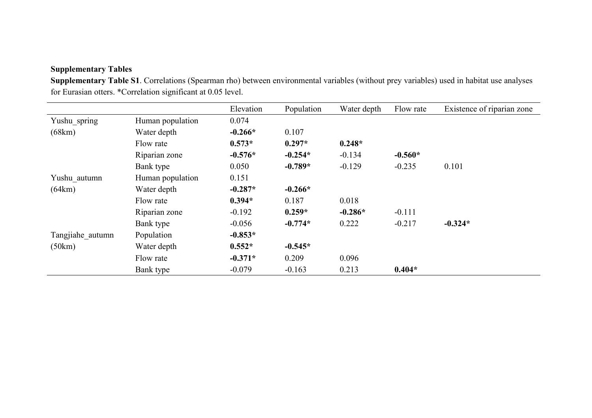## **Supplementary Tables**

**Supplementary Table S1**. Correlations (Spearman rho) between environmental variables (without prey variables) used in habitat use analyses for Eurasian otters. \*Correlation significant at 0.05 level.

|                  |                  | Elevation | Population | Water depth | Flow rate | Existence of riparian zone |
|------------------|------------------|-----------|------------|-------------|-----------|----------------------------|
| Yushu_spring     | Human population | 0.074     |            |             |           |                            |
| (68km)           | Water depth      | $-0.266*$ | 0.107      |             |           |                            |
|                  | Flow rate        | $0.573*$  | $0.297*$   | $0.248*$    |           |                            |
|                  | Riparian zone    | $-0.576*$ | $-0.254*$  | $-0.134$    | $-0.560*$ |                            |
|                  | Bank type        | 0.050     | $-0.789*$  | $-0.129$    | $-0.235$  | 0.101                      |
| Yushu autumn     | Human population | 0.151     |            |             |           |                            |
| (64km)           | Water depth      | $-0.287*$ | $-0.266*$  |             |           |                            |
|                  | Flow rate        | $0.394*$  | 0.187      | 0.018       |           |                            |
|                  | Riparian zone    | $-0.192$  | $0.259*$   | $-0.286*$   | $-0.111$  |                            |
|                  | Bank type        | $-0.056$  | $-0.774*$  | 0.222       | $-0.217$  | $-0.324*$                  |
| Tangjiahe autumn | Population       | $-0.853*$ |            |             |           |                            |
| (50km)           | Water depth      | $0.552*$  | $-0.545*$  |             |           |                            |
|                  | Flow rate        | $-0.371*$ | 0.209      | 0.096       |           |                            |
|                  | Bank type        | $-0.079$  | $-0.163$   | 0.213       | $0.404*$  |                            |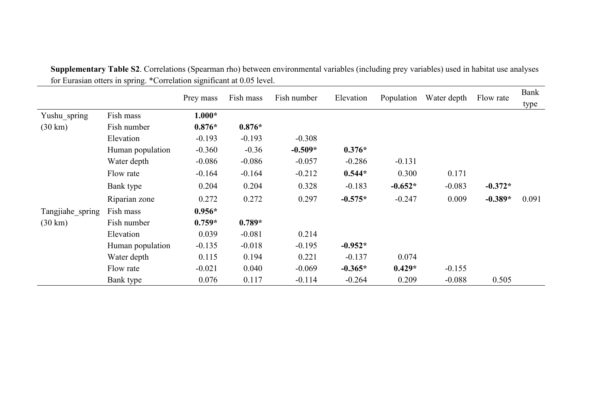|                   | Fish number<br>Fish mass<br>Elevation<br>Prey mass |          |          |           |           | Population | Water depth | Flow rate | Bank  |
|-------------------|----------------------------------------------------|----------|----------|-----------|-----------|------------|-------------|-----------|-------|
|                   |                                                    |          |          |           |           | type       |             |           |       |
| Yushu_spring      | Fish mass                                          | $1.000*$ |          |           |           |            |             |           |       |
| $(30 \text{ km})$ | Fish number                                        | $0.876*$ | $0.876*$ |           |           |            |             |           |       |
|                   | Elevation                                          | $-0.193$ | $-0.193$ | $-0.308$  |           |            |             |           |       |
|                   | Human population                                   | $-0.360$ | $-0.36$  | $-0.509*$ | $0.376*$  |            |             |           |       |
|                   | Water depth                                        | $-0.086$ | $-0.086$ | $-0.057$  | $-0.286$  | $-0.131$   |             |           |       |
|                   | Flow rate                                          | $-0.164$ | $-0.164$ | $-0.212$  | $0.544*$  | 0.300      | 0.171       |           |       |
|                   | Bank type                                          | 0.204    | 0.204    | 0.328     | $-0.183$  | $-0.652*$  | $-0.083$    | $-0.372*$ |       |
|                   | Riparian zone                                      | 0.272    | 0.272    | 0.297     | $-0.575*$ | $-0.247$   | 0.009       | $-0.389*$ | 0.091 |
| Tangjiahe_spring  | Fish mass                                          | $0.956*$ |          |           |           |            |             |           |       |
| $(30 \text{ km})$ | Fish number                                        | $0.759*$ | $0.789*$ |           |           |            |             |           |       |
|                   | Elevation                                          | 0.039    | $-0.081$ | 0.214     |           |            |             |           |       |
|                   | Human population                                   | $-0.135$ | $-0.018$ | $-0.195$  | $-0.952*$ |            |             |           |       |
|                   | Water depth                                        | 0.115    | 0.194    | 0.221     | $-0.137$  | 0.074      |             |           |       |
|                   | Flow rate                                          | $-0.021$ | 0.040    | $-0.069$  | $-0.365*$ | $0.429*$   | $-0.155$    |           |       |
|                   | Bank type                                          | 0.076    | 0.117    | $-0.114$  | $-0.264$  | 0.209      | $-0.088$    | 0.505     |       |

**Supplementary Table S2**. Correlations (Spearman rho) between environmental variables (including prey variables) used in habitat use analyses for Eurasian otters in spring. \*Correlation significant at 0.05 level.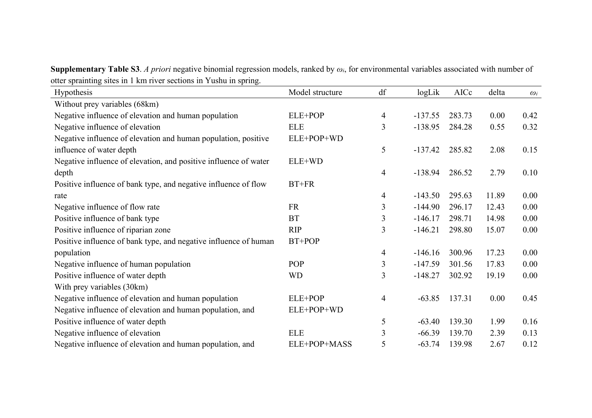**Supplementary Table S3**. *A priori* negative binomial regression models, ranked by *ωi*, for environmental variables associated with number of otter sprainting sites in 1 km river sections in Yushu in spring.

| Hypothesis                                                       | Model structure | df | logLik    | AICc   | delta | $\omega_i$ |
|------------------------------------------------------------------|-----------------|----|-----------|--------|-------|------------|
| Without prey variables (68km)                                    |                 |    |           |        |       |            |
| Negative influence of elevation and human population             | ELE+POP         | 4  | $-137.55$ | 283.73 | 0.00  | 0.42       |
| Negative influence of elevation                                  | <b>ELE</b>      | 3  | $-138.95$ | 284.28 | 0.55  | 0.32       |
| Negative influence of elevation and human population, positive   | ELE+POP+WD      |    |           |        |       |            |
| influence of water depth                                         |                 | 5  | $-137.42$ | 285.82 | 2.08  | 0.15       |
| Negative influence of elevation, and positive influence of water | ELE+WD          |    |           |        |       |            |
| depth                                                            |                 | 4  | $-138.94$ | 286.52 | 2.79  | 0.10       |
| Positive influence of bank type, and negative influence of flow  | $BT+FR$         |    |           |        |       |            |
| rate                                                             |                 | 4  | $-143.50$ | 295.63 | 11.89 | 0.00       |
| Negative influence of flow rate                                  | <b>FR</b>       | 3  | $-144.90$ | 296.17 | 12.43 | 0.00       |
| Positive influence of bank type                                  | <b>BT</b>       | 3  | $-146.17$ | 298.71 | 14.98 | 0.00       |
| Positive influence of riparian zone                              | <b>RIP</b>      | 3  | $-146.21$ | 298.80 | 15.07 | 0.00       |
| Positive influence of bank type, and negative influence of human | BT+POP          |    |           |        |       |            |
| population                                                       |                 | 4  | $-146.16$ | 300.96 | 17.23 | 0.00       |
| Negative influence of human population                           | POP             | 3  | $-147.59$ | 301.56 | 17.83 | 0.00       |
| Positive influence of water depth                                | <b>WD</b>       | 3  | $-148.27$ | 302.92 | 19.19 | 0.00       |
| With prey variables (30km)                                       |                 |    |           |        |       |            |
| Negative influence of elevation and human population             | ELE+POP         | 4  | $-63.85$  | 137.31 | 0.00  | 0.45       |
| Negative influence of elevation and human population, and        | ELE+POP+WD      |    |           |        |       |            |
| Positive influence of water depth                                |                 | 5  | $-63.40$  | 139.30 | 1.99  | 0.16       |
| Negative influence of elevation                                  | ELE             | 3  | $-66.39$  | 139.70 | 2.39  | 0.13       |
| Negative influence of elevation and human population, and        | ELE+POP+MASS    | 5  | $-63.74$  | 139.98 | 2.67  | 0.12       |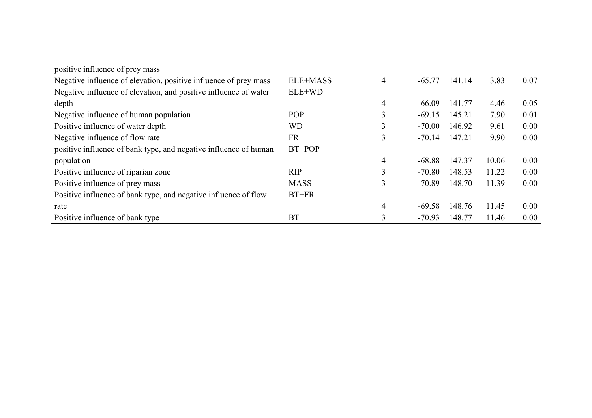| positive influence of prey mass                                  |             |   |          |        |       |      |
|------------------------------------------------------------------|-------------|---|----------|--------|-------|------|
| Negative influence of elevation, positive influence of prey mass | ELE+MASS    | 4 | $-65.77$ | 141.14 | 3.83  | 0.07 |
| Negative influence of elevation, and positive influence of water | ELE+WD      |   |          |        |       |      |
| depth                                                            |             | 4 | $-66.09$ | 141.77 | 4.46  | 0.05 |
| Negative influence of human population                           | POP         | ◠ | $-69.15$ | 145.21 | 7.90  | 0.01 |
| Positive influence of water depth                                | WD          | 3 | $-70.00$ | 146.92 | 9.61  | 0.00 |
| Negative influence of flow rate                                  | <b>FR</b>   | 3 | $-70.14$ | 147.21 | 9.90  | 0.00 |
| positive influence of bank type, and negative influence of human | $BT+POP$    |   |          |        |       |      |
| population                                                       |             | 4 | $-68.88$ | 147.37 | 10.06 | 0.00 |
| Positive influence of riparian zone                              | <b>RIP</b>  | 3 | $-70.80$ | 148.53 | 11.22 | 0.00 |
| Positive influence of prey mass                                  | <b>MASS</b> | 3 | $-70.89$ | 148.70 | 11.39 | 0.00 |
| Positive influence of bank type, and negative influence of flow  | $BT+FR$     |   |          |        |       |      |
| rate                                                             |             | 4 | $-69.58$ | 148.76 | 11.45 | 0.00 |
| Positive influence of bank type                                  | <b>BT</b>   | 3 | $-70.93$ | 148.77 | 11.46 | 0.00 |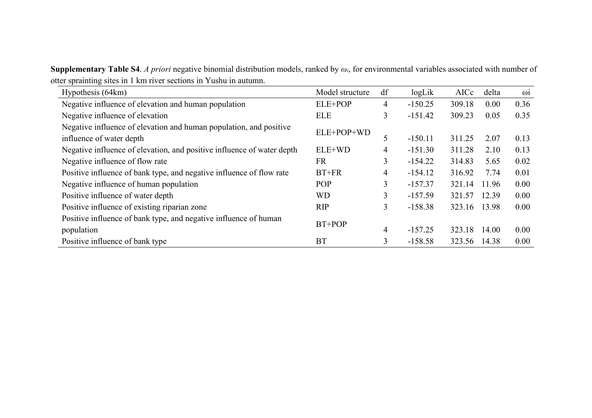**Supplementary Table S4**. *A priori* negative binomial distribution models, ranked by *ωi*, for environmental variables associated with number of otter sprainting sites in 1 km river sections in Yushu in autumn.

| Hypothesis (64km)                                                      | Model structure | df | logLik    | AICc   | delta | $\omega$ <sup>i</sup> |
|------------------------------------------------------------------------|-----------------|----|-----------|--------|-------|-----------------------|
| Negative influence of elevation and human population                   | ELE+POP         | 4  | $-150.25$ | 309.18 | 0.00  | 0.36                  |
| Negative influence of elevation                                        | <b>ELE</b>      | 3  | $-151.42$ | 309.23 | 0.05  | 0.35                  |
| Negative influence of elevation and human population, and positive     | ELE+POP+WD      |    |           |        |       |                       |
| influence of water depth                                               |                 | 5  | $-150.11$ | 311.25 | 2.07  | 0.13                  |
| Negative influence of elevation, and positive influence of water depth | ELE+WD          | 4  | $-151.30$ | 311.28 | 2.10  | 0.13                  |
| Negative influence of flow rate                                        | <b>FR</b>       | 3  | $-154.22$ | 314.83 | 5.65  | 0.02                  |
| Positive influence of bank type, and negative influence of flow rate   | $BT+FR$         | 4  | $-154.12$ | 316.92 | 7.74  | 0.01                  |
| Negative influence of human population                                 | POP             | 3  | $-157.37$ | 321.14 | 11.96 | 0.00                  |
| Positive influence of water depth                                      | <b>WD</b>       | 3  | $-157.59$ | 321.57 | 12.39 | 0.00                  |
| Positive influence of existing riparian zone                           | <b>RIP</b>      | 3  | $-158.38$ | 323.16 | 13.98 | 0.00                  |
| Positive influence of bank type, and negative influence of human       | $BT+POP$        |    |           |        |       |                       |
| population                                                             |                 | 4  | $-157.25$ | 323.18 | 14.00 | 0.00                  |
| Positive influence of bank type                                        | <b>BT</b>       | 3  | $-158.58$ | 323.56 | 14.38 | 0.00                  |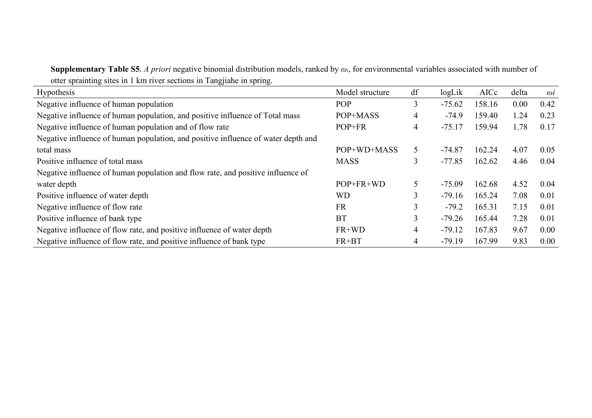**Supplementary Table S5**. *A priori* negative binomial distribution models, ranked by *ωi*, for environmental variables associated with number of otter sprainting sites in 1 km river sections in Tangjiahe in spring.

| $\tilde{\phantom{a}}$                                                             |                 |    |          |        |       |            |
|-----------------------------------------------------------------------------------|-----------------|----|----------|--------|-------|------------|
| Hypothesis                                                                        | Model structure | df | logLik   | AICc   | delta | $\omega i$ |
| Negative influence of human population                                            | <b>POP</b>      | 3  | $-75.62$ | 158.16 | 0.00  | 0.42       |
| Negative influence of human population, and positive influence of Total mass      | POP+MASS        | 4  | $-74.9$  | 159.40 | 1.24  | 0.23       |
| Negative influence of human population and of flow rate                           | POP+FR          | 4  | $-75.17$ | 159.94 | 1.78  | 0.17       |
| Negative influence of human population, and positive influence of water depth and |                 |    |          |        |       |            |
| total mass                                                                        | POP+WD+MASS     | 5  | $-74.87$ | 162.24 | 4.07  | 0.05       |
| Positive influence of total mass                                                  | <b>MASS</b>     | 3  | $-77.85$ | 162.62 | 4.46  | 0.04       |
| Negative influence of human population and flow rate, and positive influence of   |                 |    |          |        |       |            |
| water depth                                                                       | POP+FR+WD       | 5  | $-75.09$ | 162.68 | 4.52  | 0.04       |
| Positive influence of water depth                                                 | <b>WD</b>       | 3  | $-79.16$ | 165.24 | 7.08  | 0.01       |
| Negative influence of flow rate                                                   | <b>FR</b>       | 3  | $-79.2$  | 165.31 | 7.15  | 0.01       |
| Positive influence of bank type                                                   | <b>BT</b>       | 3  | $-79.26$ | 165.44 | 7.28  | 0.01       |
| Negative influence of flow rate, and positive influence of water depth            | $FR+WD$         | 4  | $-79.12$ | 167.83 | 9.67  | 0.00       |
| Negative influence of flow rate, and positive influence of bank type              | FR+BT           | 4  | $-79.19$ | 167.99 | 9.83  | 0.00       |